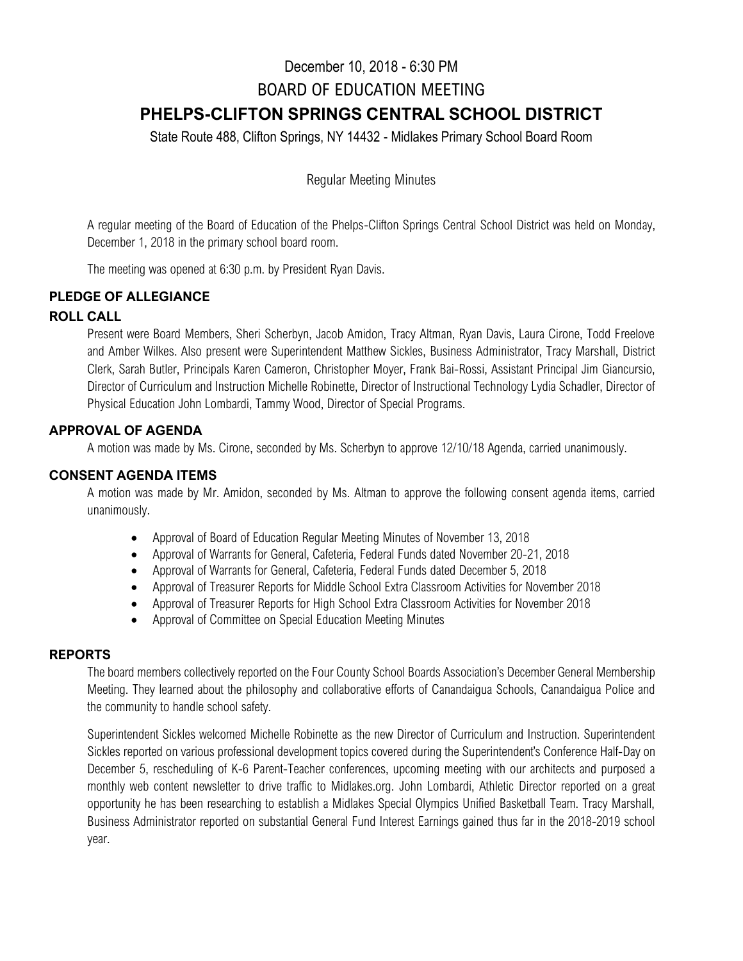# December 10, 2018 - 6:30 PM BOARD OF EDUCATION MEETING **PHELPS-CLIFTON SPRINGS CENTRAL SCHOOL DISTRICT**

State Route 488, Clifton Springs, NY 14432 - Midlakes Primary School Board Room

Regular Meeting Minutes

A regular meeting of the Board of Education of the Phelps-Clifton Springs Central School District was held on Monday, December 1, 2018 in the primary school board room.

The meeting was opened at 6:30 p.m. by President Ryan Davis.

# **PLEDGE OF ALLEGIANCE**

# **ROLL CALL**

Present were Board Members, Sheri Scherbyn, Jacob Amidon, Tracy Altman, Ryan Davis, Laura Cirone, Todd Freelove and Amber Wilkes. Also present were Superintendent Matthew Sickles, Business Administrator, Tracy Marshall, District Clerk, Sarah Butler, Principals Karen Cameron, Christopher Moyer, Frank Bai-Rossi, Assistant Principal Jim Giancursio, Director of Curriculum and Instruction Michelle Robinette, Director of Instructional Technology Lydia Schadler, Director of Physical Education John Lombardi, Tammy Wood, Director of Special Programs.

# **APPROVAL OF AGENDA**

A motion was made by Ms. Cirone, seconded by Ms. Scherbyn to approve 12/10/18 Agenda, carried unanimously.

# **CONSENT AGENDA ITEMS**

A motion was made by Mr. Amidon, seconded by Ms. Altman to approve the following consent agenda items, carried unanimously.

- Approval of Board of Education Regular Meeting Minutes of November 13, 2018
- Approval of Warrants for General, Cafeteria, Federal Funds dated November 20-21, 2018
- Approval of Warrants for General, Cafeteria, Federal Funds dated December 5, 2018
- Approval of Treasurer Reports for Middle School Extra Classroom Activities for November 2018
- Approval of Treasurer Reports for High School Extra Classroom Activities for November 2018
- Approval of Committee on Special Education Meeting Minutes

# **REPORTS**

The board members collectively reported on the Four County School Boards Association's December General Membership Meeting. They learned about the philosophy and collaborative efforts of Canandaigua Schools, Canandaigua Police and the community to handle school safety.

Superintendent Sickles welcomed Michelle Robinette as the new Director of Curriculum and Instruction. Superintendent Sickles reported on various professional development topics covered during the Superintendent's Conference Half-Day on December 5, rescheduling of K-6 Parent-Teacher conferences, upcoming meeting with our architects and purposed a monthly web content newsletter to drive traffic to Midlakes.org. John Lombardi, Athletic Director reported on a great opportunity he has been researching to establish a Midlakes Special Olympics Unified Basketball Team. Tracy Marshall, Business Administrator reported on substantial General Fund Interest Earnings gained thus far in the 2018-2019 school year.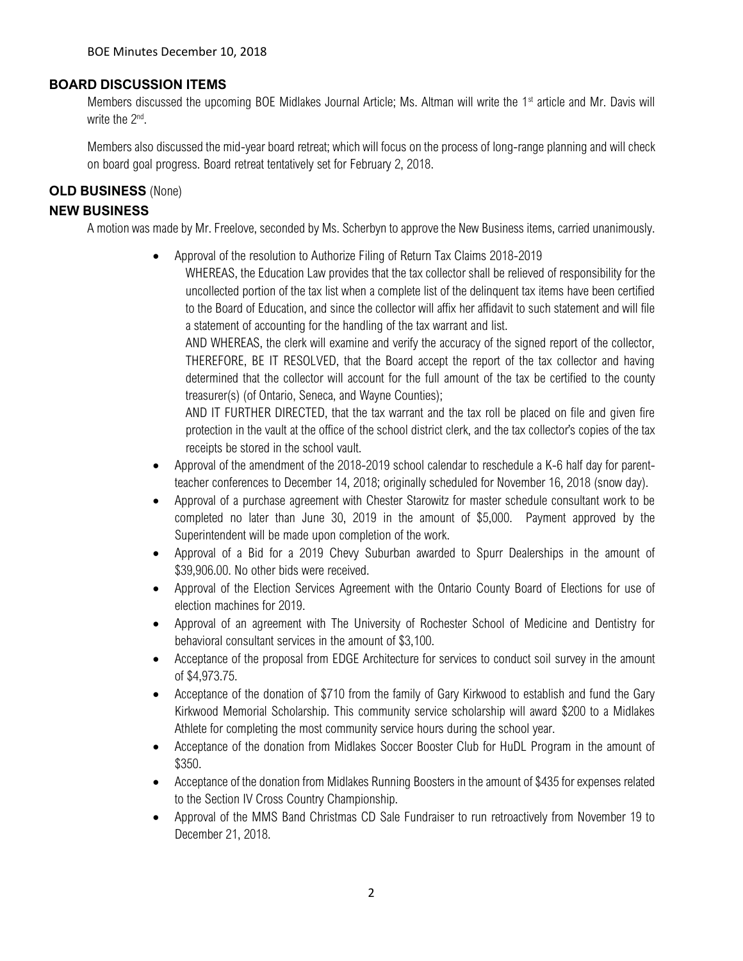# **BOARD DISCUSSION ITEMS**

Members discussed the upcoming BOE Midlakes Journal Article; Ms. Altman will write the 1<sup>st</sup> article and Mr. Davis will write the 2<sup>nd</sup>.

Members also discussed the mid-year board retreat; which will focus on the process of long-range planning and will check on board goal progress. Board retreat tentatively set for February 2, 2018.

## **OLD BUSINESS** (None)

#### **NEW BUSINESS**

A motion was made by Mr. Freelove, seconded by Ms. Scherbyn to approve the New Business items, carried unanimously.

• Approval of the resolution to Authorize Filing of Return Tax Claims 2018-2019

WHEREAS, the Education Law provides that the tax collector shall be relieved of responsibility for the uncollected portion of the tax list when a complete list of the delinquent tax items have been certified to the Board of Education, and since the collector will affix her affidavit to such statement and will file a statement of accounting for the handling of the tax warrant and list.

AND WHEREAS, the clerk will examine and verify the accuracy of the signed report of the collector, THEREFORE, BE IT RESOLVED, that the Board accept the report of the tax collector and having determined that the collector will account for the full amount of the tax be certified to the county treasurer(s) (of Ontario, Seneca, and Wayne Counties);

AND IT FURTHER DIRECTED, that the tax warrant and the tax roll be placed on file and given fire protection in the vault at the office of the school district clerk, and the tax collector's copies of the tax receipts be stored in the school vault.

- Approval of the amendment of the 2018-2019 school calendar to reschedule a K-6 half day for parentteacher conferences to December 14, 2018; originally scheduled for November 16, 2018 (snow day).
- Approval of a purchase agreement with Chester Starowitz for master schedule consultant work to be completed no later than June 30, 2019 in the amount of \$5,000. Payment approved by the Superintendent will be made upon completion of the work.
- Approval of a Bid for a 2019 Chevy Suburban awarded to Spurr Dealerships in the amount of \$39,906.00. No other bids were received.
- Approval of the Election Services Agreement with the Ontario County Board of Elections for use of election machines for 2019.
- Approval of an agreement with The University of Rochester School of Medicine and Dentistry for behavioral consultant services in the amount of \$3,100.
- Acceptance of the proposal from EDGE Architecture for services to conduct soil survey in the amount of \$4,973.75.
- Acceptance of the donation of \$710 from the family of Gary Kirkwood to establish and fund the Gary Kirkwood Memorial Scholarship. This community service scholarship will award \$200 to a Midlakes Athlete for completing the most community service hours during the school year.
- Acceptance of the donation from Midlakes Soccer Booster Club for HuDL Program in the amount of \$350.
- Acceptance of the donation from Midlakes Running Boosters in the amount of \$435 for expenses related to the Section IV Cross Country Championship.
- Approval of the MMS Band Christmas CD Sale Fundraiser to run retroactively from November 19 to December 21, 2018.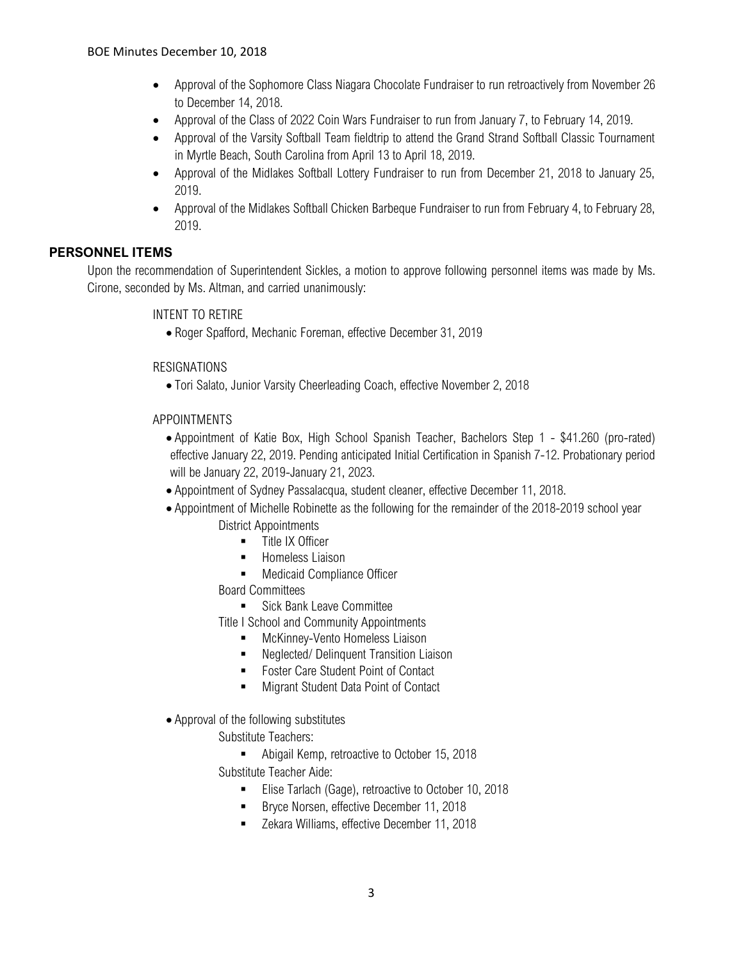- Approval of the Sophomore Class Niagara Chocolate Fundraiser to run retroactively from November 26 to December 14, 2018.
- Approval of the Class of 2022 Coin Wars Fundraiser to run from January 7, to February 14, 2019.
- Approval of the Varsity Softball Team fieldtrip to attend the Grand Strand Softball Classic Tournament in Myrtle Beach, South Carolina from April 13 to April 18, 2019.
- Approval of the Midlakes Softball Lottery Fundraiser to run from December 21, 2018 to January 25, 2019.
- Approval of the Midlakes Softball Chicken Barbeque Fundraiser to run from February 4, to February 28, 2019.

# **PERSONNEL ITEMS**

Upon the recommendation of Superintendent Sickles, a motion to approve following personnel items was made by Ms. Cirone, seconded by Ms. Altman, and carried unanimously:

#### INTENT TO RETIRE

• Roger Spafford, Mechanic Foreman, effective December 31, 2019

#### RESIGNATIONS

• Tori Salato, Junior Varsity Cheerleading Coach, effective November 2, 2018

#### APPOINTMENTS

- Appointment of Katie Box, High School Spanish Teacher, Bachelors Step 1 \$41.260 (pro-rated) effective January 22, 2019. Pending anticipated Initial Certification in Spanish 7-12. Probationary period will be January 22, 2019-January 21, 2023.
- Appointment of Sydney Passalacqua, student cleaner, effective December 11, 2018.
- Appointment of Michelle Robinette as the following for the remainder of the 2018-2019 school year District Appointments
	- **■** Title IX Officer
	- Homeless Liaison
	- Medicaid Compliance Officer
	- Board Committees
		- Sick Bank Leave Committee

Title I School and Community Appointments

- McKinney-Vento Homeless Liaison
- Neglected/ Delinquent Transition Liaison
- Foster Care Student Point of Contact
- Migrant Student Data Point of Contact
- Approval of the following substitutes
	- Substitute Teachers:
	- Abigail Kemp, retroactive to October 15, 2018 Substitute Teacher Aide:
		- **Elise Tarlach (Gage), retroactive to October 10, 2018**
		- Bryce Norsen, effective December 11, 2018
		- Zekara Williams, effective December 11, 2018